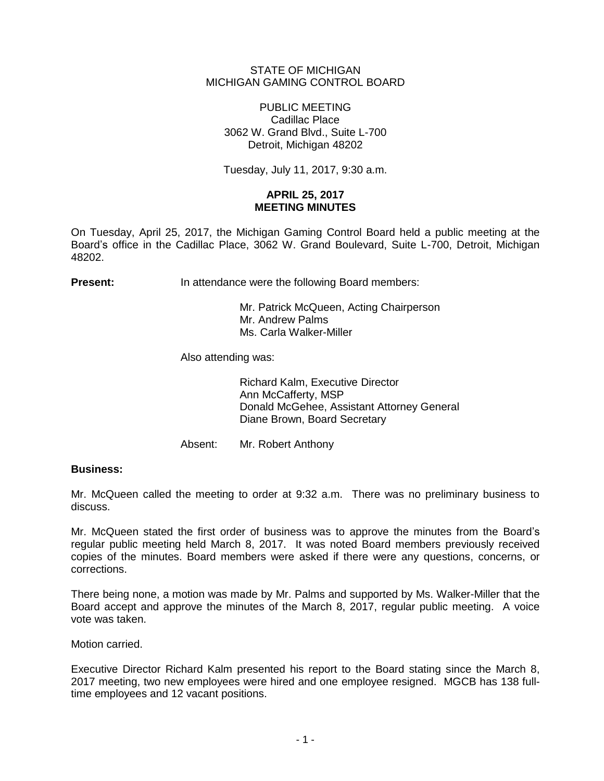# STATE OF MICHIGAN MICHIGAN GAMING CONTROL BOARD

PUBLIC MEETING Cadillac Place 3062 W. Grand Blvd., Suite L-700 Detroit, Michigan 48202

Tuesday, July 11, 2017, 9:30 a.m.

# **APRIL 25, 2017 MEETING MINUTES**

On Tuesday, April 25, 2017, the Michigan Gaming Control Board held a public meeting at the Board's office in the Cadillac Place, 3062 W. Grand Boulevard, Suite L-700, Detroit, Michigan 48202.

**Present:** In attendance were the following Board members:

Mr. Patrick McQueen, Acting Chairperson Mr. Andrew Palms Ms. Carla Walker-Miller

Also attending was:

Richard Kalm, Executive Director Ann McCafferty, MSP Donald McGehee, Assistant Attorney General Diane Brown, Board Secretary

Absent: Mr. Robert Anthony

## **Business:**

Mr. McQueen called the meeting to order at 9:32 a.m. There was no preliminary business to discuss.

Mr. McQueen stated the first order of business was to approve the minutes from the Board's regular public meeting held March 8, 2017. It was noted Board members previously received copies of the minutes. Board members were asked if there were any questions, concerns, or corrections.

There being none, a motion was made by Mr. Palms and supported by Ms. Walker-Miller that the Board accept and approve the minutes of the March 8, 2017, regular public meeting. A voice vote was taken.

Motion carried.

Executive Director Richard Kalm presented his report to the Board stating since the March 8, 2017 meeting, two new employees were hired and one employee resigned. MGCB has 138 fulltime employees and 12 vacant positions.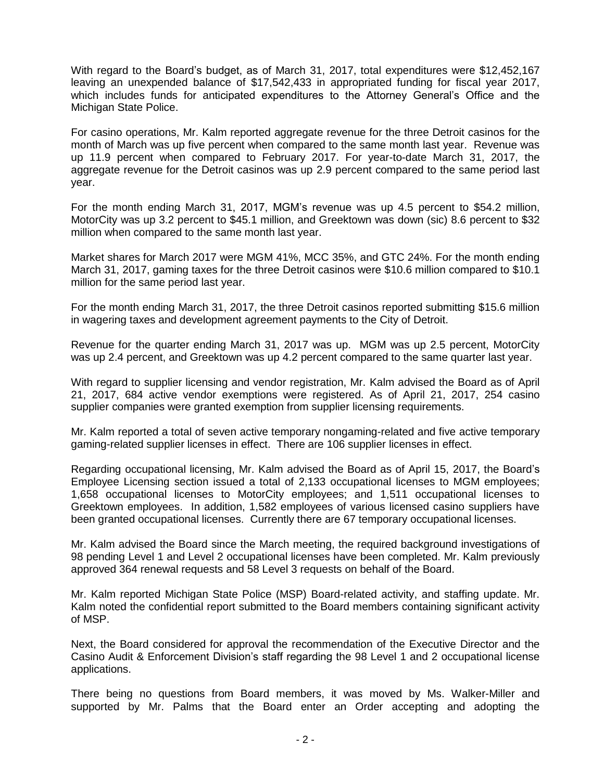With regard to the Board's budget, as of March 31, 2017, total expenditures were \$12,452,167 leaving an unexpended balance of \$17,542,433 in appropriated funding for fiscal year 2017, which includes funds for anticipated expenditures to the Attorney General's Office and the Michigan State Police.

For casino operations, Mr. Kalm reported aggregate revenue for the three Detroit casinos for the month of March was up five percent when compared to the same month last year. Revenue was up 11.9 percent when compared to February 2017. For year-to-date March 31, 2017, the aggregate revenue for the Detroit casinos was up 2.9 percent compared to the same period last year.

For the month ending March 31, 2017, MGM's revenue was up 4.5 percent to \$54.2 million, MotorCity was up 3.2 percent to \$45.1 million, and Greektown was down (sic) 8.6 percent to \$32 million when compared to the same month last year.

Market shares for March 2017 were MGM 41%, MCC 35%, and GTC 24%. For the month ending March 31, 2017, gaming taxes for the three Detroit casinos were \$10.6 million compared to \$10.1 million for the same period last year.

For the month ending March 31, 2017, the three Detroit casinos reported submitting \$15.6 million in wagering taxes and development agreement payments to the City of Detroit.

Revenue for the quarter ending March 31, 2017 was up. MGM was up 2.5 percent, MotorCity was up 2.4 percent, and Greektown was up 4.2 percent compared to the same quarter last year.

With regard to supplier licensing and vendor registration, Mr. Kalm advised the Board as of April 21, 2017, 684 active vendor exemptions were registered. As of April 21, 2017, 254 casino supplier companies were granted exemption from supplier licensing requirements.

Mr. Kalm reported a total of seven active temporary nongaming-related and five active temporary gaming-related supplier licenses in effect. There are 106 supplier licenses in effect.

Regarding occupational licensing, Mr. Kalm advised the Board as of April 15, 2017, the Board's Employee Licensing section issued a total of 2,133 occupational licenses to MGM employees; 1,658 occupational licenses to MotorCity employees; and 1,511 occupational licenses to Greektown employees. In addition, 1,582 employees of various licensed casino suppliers have been granted occupational licenses. Currently there are 67 temporary occupational licenses.

Mr. Kalm advised the Board since the March meeting, the required background investigations of 98 pending Level 1 and Level 2 occupational licenses have been completed. Mr. Kalm previously approved 364 renewal requests and 58 Level 3 requests on behalf of the Board.

Mr. Kalm reported Michigan State Police (MSP) Board-related activity, and staffing update. Mr. Kalm noted the confidential report submitted to the Board members containing significant activity of MSP.

Next, the Board considered for approval the recommendation of the Executive Director and the Casino Audit & Enforcement Division's staff regarding the 98 Level 1 and 2 occupational license applications.

There being no questions from Board members, it was moved by Ms. Walker-Miller and supported by Mr. Palms that the Board enter an Order accepting and adopting the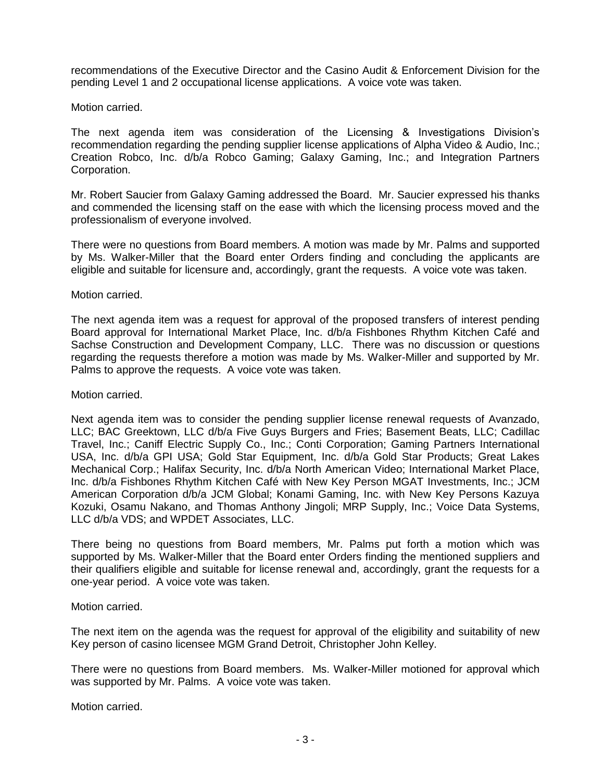recommendations of the Executive Director and the Casino Audit & Enforcement Division for the pending Level 1 and 2 occupational license applications. A voice vote was taken.

Motion carried.

The next agenda item was consideration of the Licensing & Investigations Division's recommendation regarding the pending supplier license applications of Alpha Video & Audio, Inc.; Creation Robco, Inc. d/b/a Robco Gaming; Galaxy Gaming, Inc.; and Integration Partners Corporation.

Mr. Robert Saucier from Galaxy Gaming addressed the Board. Mr. Saucier expressed his thanks and commended the licensing staff on the ease with which the licensing process moved and the professionalism of everyone involved.

There were no questions from Board members. A motion was made by Mr. Palms and supported by Ms. Walker-Miller that the Board enter Orders finding and concluding the applicants are eligible and suitable for licensure and, accordingly, grant the requests. A voice vote was taken.

#### Motion carried.

The next agenda item was a request for approval of the proposed transfers of interest pending Board approval for International Market Place, Inc. d/b/a Fishbones Rhythm Kitchen Café and Sachse Construction and Development Company, LLC. There was no discussion or questions regarding the requests therefore a motion was made by Ms. Walker-Miller and supported by Mr. Palms to approve the requests. A voice vote was taken.

Motion carried.

Next agenda item was to consider the pending supplier license renewal requests of Avanzado, LLC; BAC Greektown, LLC d/b/a Five Guys Burgers and Fries; Basement Beats, LLC; Cadillac Travel, Inc.; Caniff Electric Supply Co., Inc.; Conti Corporation; Gaming Partners International USA, Inc. d/b/a GPI USA; Gold Star Equipment, Inc. d/b/a Gold Star Products; Great Lakes Mechanical Corp.; Halifax Security, Inc. d/b/a North American Video; International Market Place, Inc. d/b/a Fishbones Rhythm Kitchen Café with New Key Person MGAT Investments, Inc.; JCM American Corporation d/b/a JCM Global; Konami Gaming, Inc. with New Key Persons Kazuya Kozuki, Osamu Nakano, and Thomas Anthony Jingoli; MRP Supply, Inc.; Voice Data Systems, LLC d/b/a VDS; and WPDET Associates, LLC.

There being no questions from Board members, Mr. Palms put forth a motion which was supported by Ms. Walker-Miller that the Board enter Orders finding the mentioned suppliers and their qualifiers eligible and suitable for license renewal and, accordingly, grant the requests for a one-year period. A voice vote was taken.

Motion carried.

The next item on the agenda was the request for approval of the eligibility and suitability of new Key person of casino licensee MGM Grand Detroit, Christopher John Kelley.

There were no questions from Board members. Ms. Walker-Miller motioned for approval which was supported by Mr. Palms. A voice vote was taken.

Motion carried.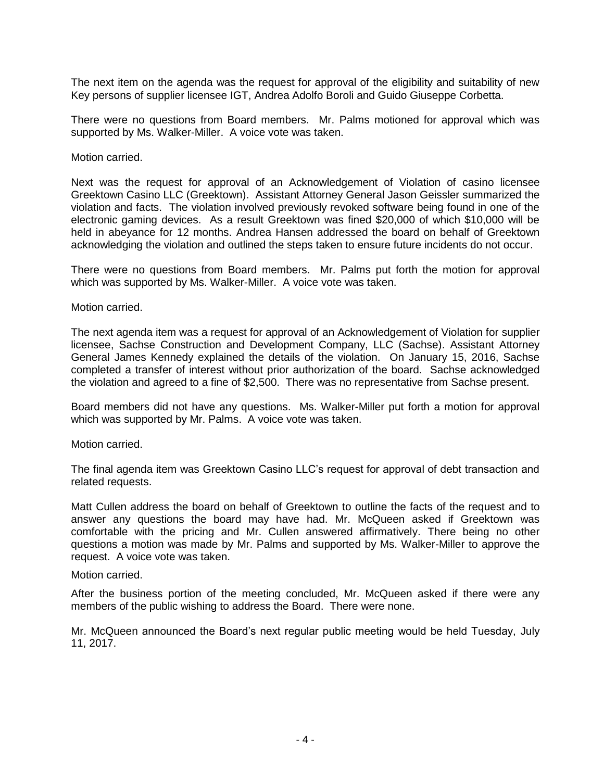The next item on the agenda was the request for approval of the eligibility and suitability of new Key persons of supplier licensee IGT, Andrea Adolfo Boroli and Guido Giuseppe Corbetta.

There were no questions from Board members. Mr. Palms motioned for approval which was supported by Ms. Walker-Miller. A voice vote was taken.

## Motion carried.

Next was the request for approval of an Acknowledgement of Violation of casino licensee Greektown Casino LLC (Greektown). Assistant Attorney General Jason Geissler summarized the violation and facts. The violation involved previously revoked software being found in one of the electronic gaming devices. As a result Greektown was fined \$20,000 of which \$10,000 will be held in abeyance for 12 months. Andrea Hansen addressed the board on behalf of Greektown acknowledging the violation and outlined the steps taken to ensure future incidents do not occur.

There were no questions from Board members. Mr. Palms put forth the motion for approval which was supported by Ms. Walker-Miller. A voice vote was taken.

#### Motion carried.

The next agenda item was a request for approval of an Acknowledgement of Violation for supplier licensee, Sachse Construction and Development Company, LLC (Sachse). Assistant Attorney General James Kennedy explained the details of the violation. On January 15, 2016, Sachse completed a transfer of interest without prior authorization of the board. Sachse acknowledged the violation and agreed to a fine of \$2,500. There was no representative from Sachse present.

Board members did not have any questions. Ms. Walker-Miller put forth a motion for approval which was supported by Mr. Palms. A voice vote was taken.

#### Motion carried.

The final agenda item was Greektown Casino LLC's request for approval of debt transaction and related requests.

Matt Cullen address the board on behalf of Greektown to outline the facts of the request and to answer any questions the board may have had. Mr. McQueen asked if Greektown was comfortable with the pricing and Mr. Cullen answered affirmatively. There being no other questions a motion was made by Mr. Palms and supported by Ms. Walker-Miller to approve the request. A voice vote was taken.

## Motion carried.

After the business portion of the meeting concluded, Mr. McQueen asked if there were any members of the public wishing to address the Board. There were none.

Mr. McQueen announced the Board's next regular public meeting would be held Tuesday, July 11, 2017.